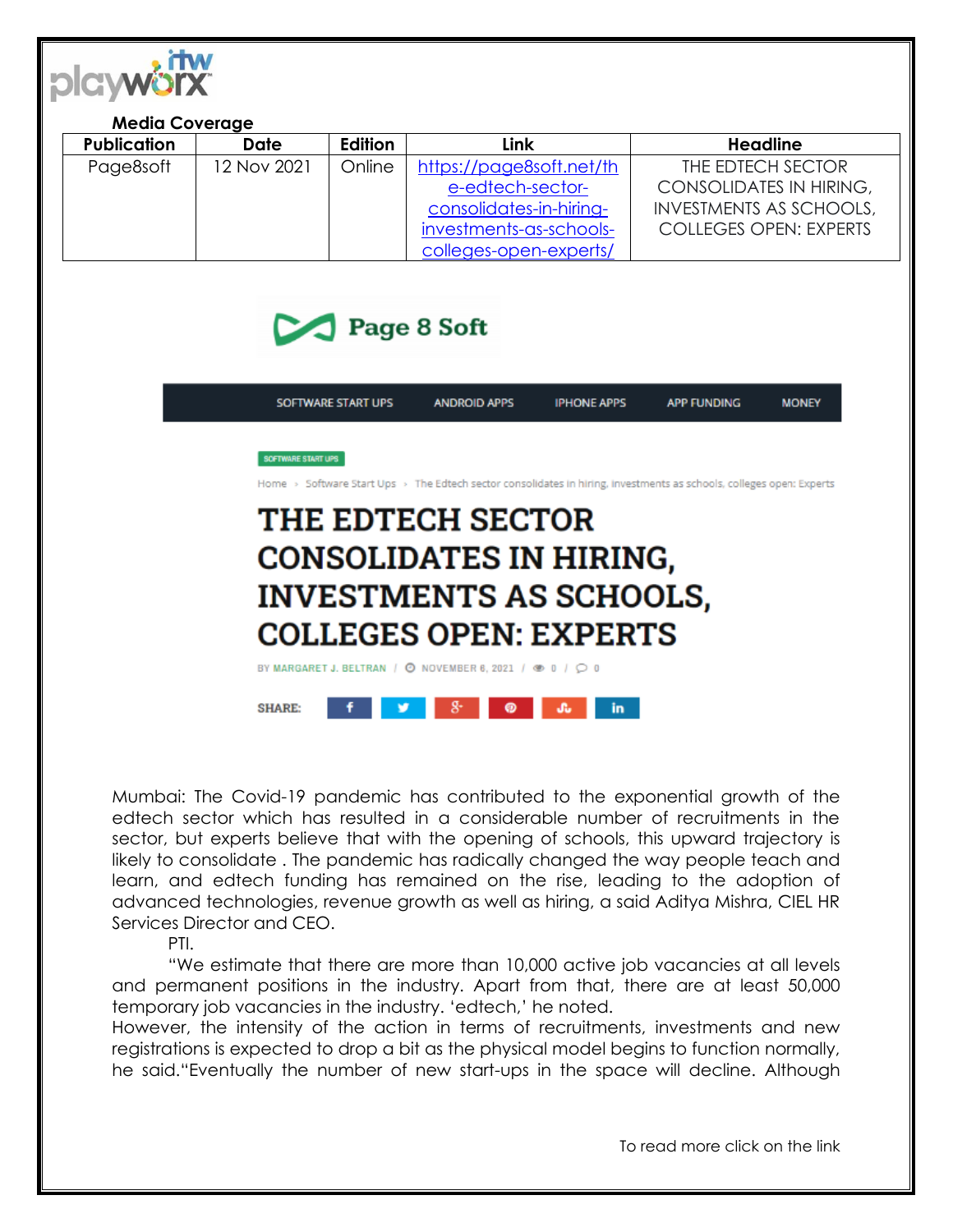

## **Media Coverage**

| <b>Publication</b> | Date        | Edition | Link                     | Headline                       |
|--------------------|-------------|---------|--------------------------|--------------------------------|
| Page8soft          | 12 Nov 2021 | Online  | https://page8soft.net/th | THE EDTECH SECTOR              |
|                    |             |         | e-edtech-sector-         | <b>CONSOLIDATES IN HIRING,</b> |
|                    |             |         | consolidates-in-hiring-  | <b>INVESTMENTS AS SCHOOLS,</b> |
|                    |             |         | investments-as-schools-  | <b>COLLEGES OPEN: EXPERTS</b>  |
|                    |             |         | colleges-open-experts/   |                                |



|                                | SOFTWARE START UPS                                                                                                                                | <b>ANDROID APPS</b> | <b>IPHONE APPS</b> | <b>APP FUNDING</b> | <b>MONEY</b> |  |  |  |  |
|--------------------------------|---------------------------------------------------------------------------------------------------------------------------------------------------|---------------------|--------------------|--------------------|--------------|--|--|--|--|
|                                |                                                                                                                                                   |                     |                    |                    |              |  |  |  |  |
|                                | <b>SOFTWARE START UPS</b><br>Home > Software Start Ups > The Edtech sector consolidates in hiring, investments as schools, colleges open: Experts |                     |                    |                    |              |  |  |  |  |
|                                | <b>THE EDTECH SECTOR</b>                                                                                                                          |                     |                    |                    |              |  |  |  |  |
|                                | <b>CONSOLIDATES IN HIRING,</b>                                                                                                                    |                     |                    |                    |              |  |  |  |  |
| <b>INVESTMENTS AS SCHOOLS,</b> |                                                                                                                                                   |                     |                    |                    |              |  |  |  |  |
| <b>COLLEGES OPEN: EXPERTS</b>  |                                                                                                                                                   |                     |                    |                    |              |  |  |  |  |
|                                |                                                                                                                                                   |                     |                    |                    |              |  |  |  |  |
|                                | BY MARGARET J. BELTRAN / © NOVEMBER 6, 2021 / © 0 / C 0                                                                                           |                     |                    |                    |              |  |  |  |  |

SHARE:  $8 - 1$  $\bullet$ **SG** in. o se

Mumbai: The Covid-19 pandemic has contributed to the exponential growth of the edtech sector which has resulted in a considerable number of recruitments in the sector, but experts believe that with the opening of schools, this upward trajectory is likely to consolidate . The pandemic has radically changed the way people teach and learn, and edtech funding has remained on the rise, leading to the adoption of advanced technologies, revenue growth as well as hiring, a said Aditya Mishra, CIEL HR Services Director and CEO.

## PTI.

"We estimate that there are more than 10,000 active job vacancies at all levels and permanent positions in the industry. Apart from that, there are at least 50,000 temporary job vacancies in the industry. 'edtech,' he noted.

However, the intensity of the action in terms of recruitments, investments and new registrations is expected to drop a bit as the physical model begins to function normally, he said."Eventually the number of new start-ups in the space will decline. Although

To read more click on the link